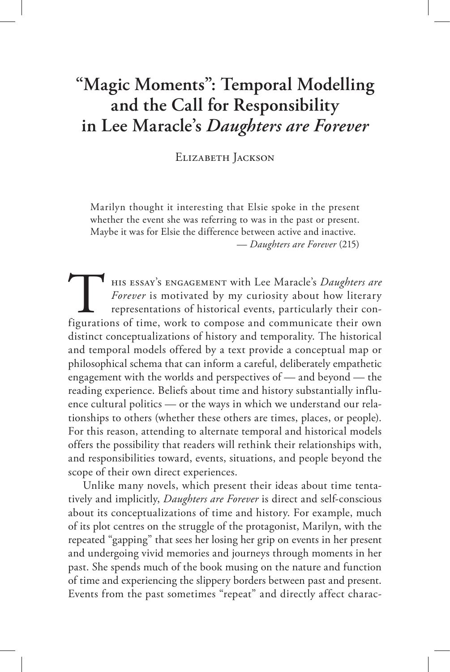# **"Magic Moments": Temporal Modelling and the Call for Responsibility in Lee Maracle's** *Daughters are Forever*

Elizabeth Jackson

Marilyn thought it interesting that Elsie spoke in the present whether the event she was referring to was in the past or present. Maybe it was for Elsie the difference between active and inactive. — *Daughters are Forever* (215)

HIS ESSAY'S ENGAGEMENT with Lee Maracle's *Daughters are*<br>*Forever* is motivated by my curiosity about how literary<br>representations of historical events, particularly their con-<br>figurations of time, work to compose and com his essay's engagement with Lee Maracle's *Daughters are Forever* is motivated by my curiosity about how literary representations of historical events, particularly their condistinct conceptualizations of history and temporality. The historical and temporal models offered by a text provide a conceptual map or philosophical schema that can inform a careful, deliberately empathetic engagement with the worlds and perspectives of — and beyond — the reading experience. Beliefs about time and history substantially influence cultural politics — or the ways in which we understand our relationships to others (whether these others are times, places, or people). For this reason, attending to alternate temporal and historical models offers the possibility that readers will rethink their relationships with, and responsibilities toward, events, situations, and people beyond the scope of their own direct experiences.

Unlike many novels, which present their ideas about time tentatively and implicitly, *Daughters are Forever* is direct and self-conscious about its conceptualizations of time and history. For example, much of its plot centres on the struggle of the protagonist, Marilyn, with the repeated "gapping" that sees her losing her grip on events in her present and undergoing vivid memories and journeys through moments in her past. She spends much of the book musing on the nature and function of time and experiencing the slippery borders between past and present. Events from the past sometimes "repeat" and directly affect charac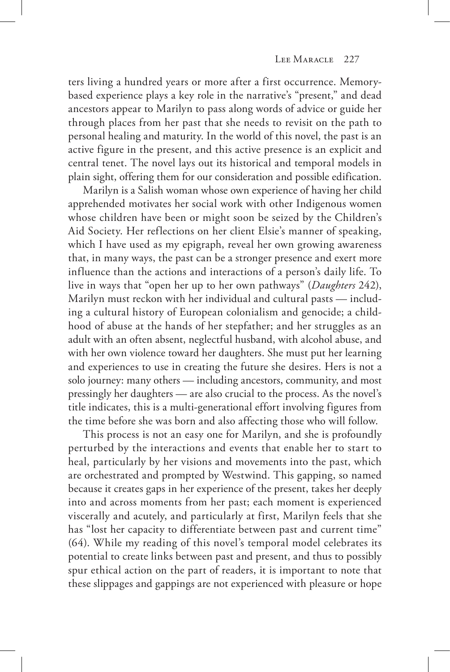ters living a hundred years or more after a first occurrence. Memorybased experience plays a key role in the narrative's "present," and dead ancestors appear to Marilyn to pass along words of advice or guide her through places from her past that she needs to revisit on the path to personal healing and maturity. In the world of this novel, the past is an active figure in the present, and this active presence is an explicit and central tenet. The novel lays out its historical and temporal models in plain sight, offering them for our consideration and possible edification.

Marilyn is a Salish woman whose own experience of having her child apprehended motivates her social work with other Indigenous women whose children have been or might soon be seized by the Children's Aid Society. Her reflections on her client Elsie's manner of speaking, which I have used as my epigraph, reveal her own growing awareness that, in many ways, the past can be a stronger presence and exert more influence than the actions and interactions of a person's daily life. To live in ways that "open her up to her own pathways" (*Daughters* 242), Marilyn must reckon with her individual and cultural pasts — including a cultural history of European colonialism and genocide; a childhood of abuse at the hands of her stepfather; and her struggles as an adult with an often absent, neglectful husband, with alcohol abuse, and with her own violence toward her daughters. She must put her learning and experiences to use in creating the future she desires. Hers is not a solo journey: many others — including ancestors, community, and most pressingly her daughters — are also crucial to the process. As the novel's title indicates, this is a multi-generational effort involving figures from the time before she was born and also affecting those who will follow.

This process is not an easy one for Marilyn, and she is profoundly perturbed by the interactions and events that enable her to start to heal, particularly by her visions and movements into the past, which are orchestrated and prompted by Westwind. This gapping, so named because it creates gaps in her experience of the present, takes her deeply into and across moments from her past; each moment is experienced viscerally and acutely, and particularly at first, Marilyn feels that she has "lost her capacity to differentiate between past and current time" (64). While my reading of this novel's temporal model celebrates its potential to create links between past and present, and thus to possibly spur ethical action on the part of readers, it is important to note that these slippages and gappings are not experienced with pleasure or hope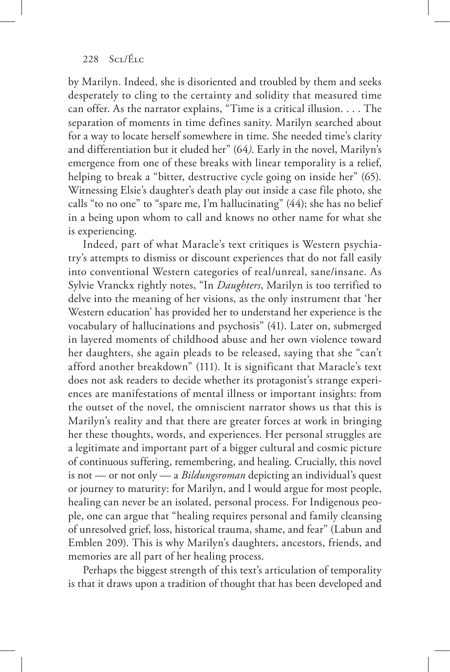by Marilyn. Indeed, she is disoriented and troubled by them and seeks desperately to cling to the certainty and solidity that measured time can offer. As the narrator explains, "Time is a critical illusion. . . . The separation of moments in time defines sanity. Marilyn searched about for a way to locate herself somewhere in time. She needed time's clarity and differentiation but it eluded her" (64*)*. Early in the novel, Marilyn's emergence from one of these breaks with linear temporality is a relief, helping to break a "bitter, destructive cycle going on inside her" (65). Witnessing Elsie's daughter's death play out inside a case file photo, she calls "to no one" to "spare me, I'm hallucinating" (44); she has no belief in a being upon whom to call and knows no other name for what she is experiencing.

Indeed, part of what Maracle's text critiques is Western psychiatry's attempts to dismiss or discount experiences that do not fall easily into conventional Western categories of real/unreal, sane/insane. As Sylvie Vranckx rightly notes, "In *Daughters*, Marilyn is too terrified to delve into the meaning of her visions, as the only instrument that 'her Western education' has provided her to understand her experience is the vocabulary of hallucinations and psychosis" (41). Later on, submerged in layered moments of childhood abuse and her own violence toward her daughters, she again pleads to be released, saying that she "can't afford another breakdown" (111). It is significant that Maracle's text does not ask readers to decide whether its protagonist's strange experiences are manifestations of mental illness or important insights: from the outset of the novel, the omniscient narrator shows us that this is Marilyn's reality and that there are greater forces at work in bringing her these thoughts, words, and experiences. Her personal struggles are a legitimate and important part of a bigger cultural and cosmic picture of continuous suffering, remembering, and healing. Crucially, this novel is not — or not only — a *Bildungsroman* depicting an individual's quest or journey to maturity: for Marilyn, and I would argue for most people, healing can never be an isolated, personal process. For Indigenous people, one can argue that "healing requires personal and family cleansing of unresolved grief, loss, historical trauma, shame, and fear" (Labun and Emblen 209). This is why Marilyn's daughters, ancestors, friends, and memories are all part of her healing process.

Perhaps the biggest strength of this text's articulation of temporality is that it draws upon a tradition of thought that has been developed and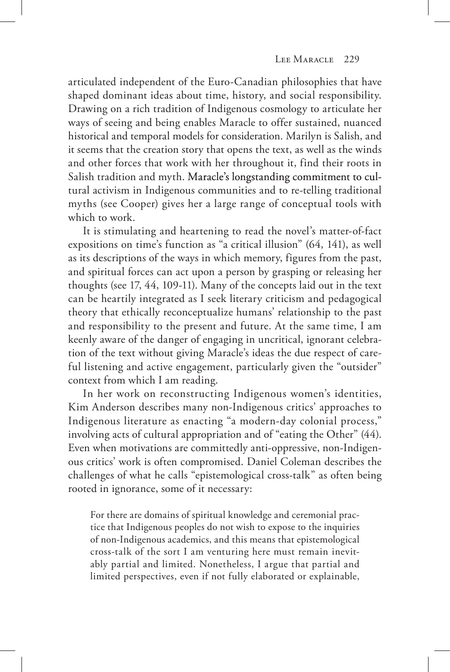articulated independent of the Euro-Canadian philosophies that have shaped dominant ideas about time, history, and social responsibility. Drawing on a rich tradition of Indigenous cosmology to articulate her ways of seeing and being enables Maracle to offer sustained, nuanced historical and temporal models for consideration. Marilyn is Salish, and it seems that the creation story that opens the text, as well as the winds and other forces that work with her throughout it, find their roots in Salish tradition and myth. Maracle's longstanding commitment to cultural activism in Indigenous communities and to re-telling traditional myths (see Cooper) gives her a large range of conceptual tools with which to work.

It is stimulating and heartening to read the novel's matter-of-fact expositions on time's function as "a critical illusion" (64, 141), as well as its descriptions of the ways in which memory, figures from the past, and spiritual forces can act upon a person by grasping or releasing her thoughts (see 17, 44, 109-11). Many of the concepts laid out in the text can be heartily integrated as I seek literary criticism and pedagogical theory that ethically reconceptualize humans' relationship to the past and responsibility to the present and future. At the same time, I am keenly aware of the danger of engaging in uncritical, ignorant celebration of the text without giving Maracle's ideas the due respect of careful listening and active engagement, particularly given the "outsider" context from which I am reading.

In her work on reconstructing Indigenous women's identities, Kim Anderson describes many non-Indigenous critics' approaches to Indigenous literature as enacting "a modern-day colonial process," involving acts of cultural appropriation and of "eating the Other" (44). Even when motivations are committedly anti-oppressive, non-Indigenous critics' work is often compromised. Daniel Coleman describes the challenges of what he calls "epistemological cross-talk" as often being rooted in ignorance, some of it necessary:

For there are domains of spiritual knowledge and ceremonial practice that Indigenous peoples do not wish to expose to the inquiries of non-Indigenous academics, and this means that epistemological cross-talk of the sort I am venturing here must remain inevitably partial and limited. Nonetheless, I argue that partial and limited perspectives, even if not fully elaborated or explainable,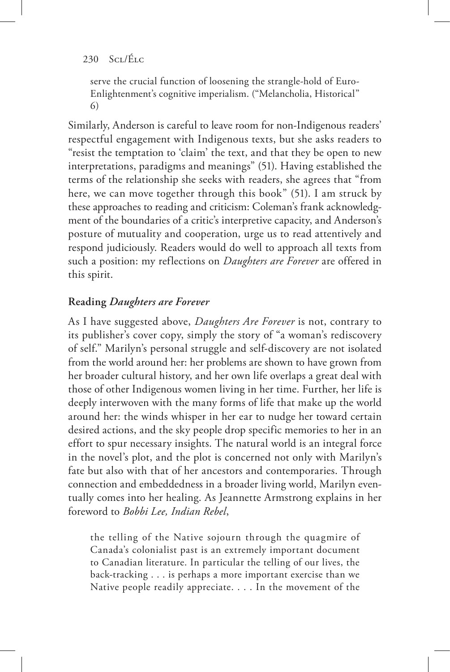serve the crucial function of loosening the strangle-hold of Euro-Enlightenment's cognitive imperialism. ("Melancholia, Historical" 6)

Similarly, Anderson is careful to leave room for non-Indigenous readers' respectful engagement with Indigenous texts, but she asks readers to "resist the temptation to 'claim' the text, and that they be open to new interpretations, paradigms and meanings" (51). Having established the terms of the relationship she seeks with readers, she agrees that "from here, we can move together through this book" (51). I am struck by these approaches to reading and criticism: Coleman's frank acknowledgment of the boundaries of a critic's interpretive capacity, and Anderson's posture of mutuality and cooperation, urge us to read attentively and respond judiciously. Readers would do well to approach all texts from such a position: my reflections on *Daughters are Forever* are offered in this spirit.

# **Reading** *Daughters are Forever*

As I have suggested above, *Daughters Are Forever* is not, contrary to its publisher's cover copy, simply the story of "a woman's rediscovery of self." Marilyn's personal struggle and self-discovery are not isolated from the world around her: her problems are shown to have grown from her broader cultural history, and her own life overlaps a great deal with those of other Indigenous women living in her time. Further, her life is deeply interwoven with the many forms of life that make up the world around her: the winds whisper in her ear to nudge her toward certain desired actions, and the sky people drop specific memories to her in an effort to spur necessary insights. The natural world is an integral force in the novel's plot, and the plot is concerned not only with Marilyn's fate but also with that of her ancestors and contemporaries. Through connection and embeddedness in a broader living world, Marilyn eventually comes into her healing. As Jeannette Armstrong explains in her foreword to *Bobbi Lee, Indian Rebel*,

the telling of the Native sojourn through the quagmire of Canada's colonialist past is an extremely important document to Canadian literature. In particular the telling of our lives, the back-tracking . . . is perhaps a more important exercise than we Native people readily appreciate. . . . In the movement of the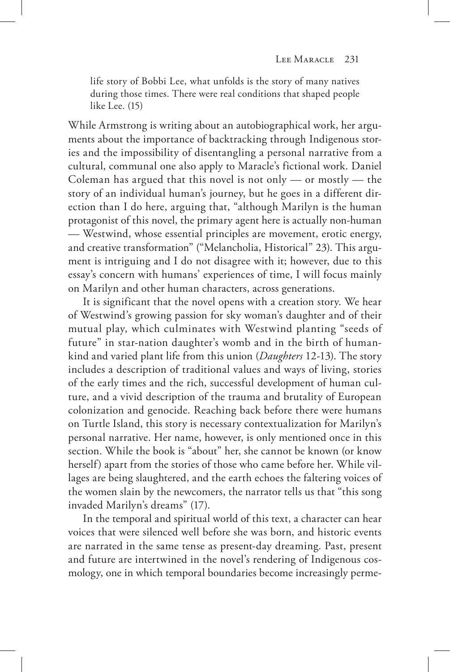life story of Bobbi Lee, what unfolds is the story of many natives during those times. There were real conditions that shaped people like Lee. (15)

While Armstrong is writing about an autobiographical work, her arguments about the importance of backtracking through Indigenous stories and the impossibility of disentangling a personal narrative from a cultural, communal one also apply to Maracle's fictional work. Daniel Coleman has argued that this novel is not only — or mostly — the story of an individual human's journey, but he goes in a different direction than I do here, arguing that, "although Marilyn is the human protagonist of this novel, the primary agent here is actually non-human — Westwind, whose essential principles are movement, erotic energy, and creative transformation" ("Melancholia, Historical" 23). This argument is intriguing and I do not disagree with it; however, due to this essay's concern with humans' experiences of time, I will focus mainly on Marilyn and other human characters, across generations.

It is significant that the novel opens with a creation story. We hear of Westwind's growing passion for sky woman's daughter and of their mutual play, which culminates with Westwind planting "seeds of future" in star-nation daughter's womb and in the birth of humankind and varied plant life from this union (*Daughters* 12-13). The story includes a description of traditional values and ways of living, stories of the early times and the rich, successful development of human culture, and a vivid description of the trauma and brutality of European colonization and genocide. Reaching back before there were humans on Turtle Island, this story is necessary contextualization for Marilyn's personal narrative. Her name, however, is only mentioned once in this section. While the book is "about" her, she cannot be known (or know herself) apart from the stories of those who came before her. While villages are being slaughtered, and the earth echoes the faltering voices of the women slain by the newcomers, the narrator tells us that "this song invaded Marilyn's dreams" (17).

In the temporal and spiritual world of this text, a character can hear voices that were silenced well before she was born, and historic events are narrated in the same tense as present-day dreaming. Past, present and future are intertwined in the novel's rendering of Indigenous cosmology, one in which temporal boundaries become increasingly perme-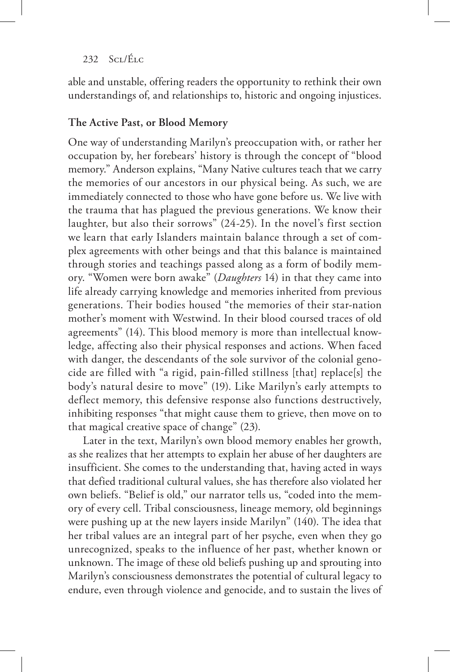able and unstable, offering readers the opportunity to rethink their own understandings of, and relationships to, historic and ongoing injustices.

## **The Active Past, or Blood Memory**

One way of understanding Marilyn's preoccupation with, or rather her occupation by, her forebears' history is through the concept of "blood memory." Anderson explains, "Many Native cultures teach that we carry the memories of our ancestors in our physical being. As such, we are immediately connected to those who have gone before us. We live with the trauma that has plagued the previous generations. We know their laughter, but also their sorrows" (24-25). In the novel's first section we learn that early Islanders maintain balance through a set of complex agreements with other beings and that this balance is maintained through stories and teachings passed along as a form of bodily memory. "Women were born awake" (*Daughters* 14) in that they came into life already carrying knowledge and memories inherited from previous generations. Their bodies housed "the memories of their star-nation mother's moment with Westwind. In their blood coursed traces of old agreements" (14). This blood memory is more than intellectual knowledge, affecting also their physical responses and actions. When faced with danger, the descendants of the sole survivor of the colonial genocide are filled with "a rigid, pain-filled stillness [that] replace[s] the body's natural desire to move" (19). Like Marilyn's early attempts to deflect memory, this defensive response also functions destructively, inhibiting responses "that might cause them to grieve, then move on to that magical creative space of change" (23).

Later in the text, Marilyn's own blood memory enables her growth, as she realizes that her attempts to explain her abuse of her daughters are insufficient. She comes to the understanding that, having acted in ways that defied traditional cultural values, she has therefore also violated her own beliefs. "Belief is old," our narrator tells us, "coded into the memory of every cell. Tribal consciousness, lineage memory, old beginnings were pushing up at the new layers inside Marilyn" (140). The idea that her tribal values are an integral part of her psyche, even when they go unrecognized, speaks to the influence of her past, whether known or unknown. The image of these old beliefs pushing up and sprouting into Marilyn's consciousness demonstrates the potential of cultural legacy to endure, even through violence and genocide, and to sustain the lives of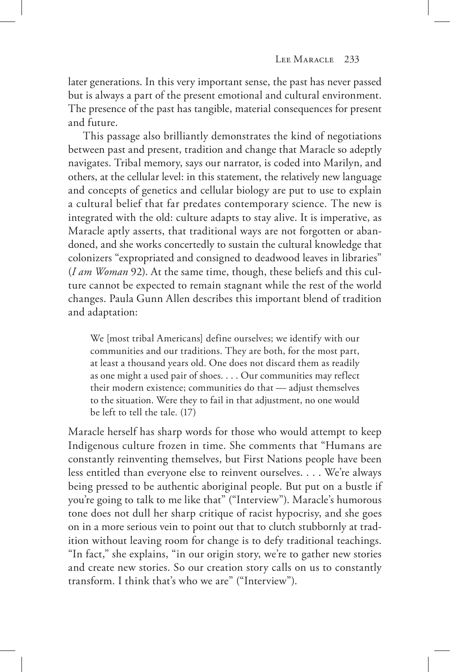later generations. In this very important sense, the past has never passed but is always a part of the present emotional and cultural environment. The presence of the past has tangible, material consequences for present and future.

This passage also brilliantly demonstrates the kind of negotiations between past and present, tradition and change that Maracle so adeptly navigates. Tribal memory, says our narrator, is coded into Marilyn, and others, at the cellular level: in this statement, the relatively new language and concepts of genetics and cellular biology are put to use to explain a cultural belief that far predates contemporary science. The new is integrated with the old: culture adapts to stay alive. It is imperative, as Maracle aptly asserts, that traditional ways are not forgotten or abandoned, and she works concertedly to sustain the cultural knowledge that colonizers "expropriated and consigned to deadwood leaves in libraries" (*I am Woman* 92). At the same time, though, these beliefs and this culture cannot be expected to remain stagnant while the rest of the world changes. Paula Gunn Allen describes this important blend of tradition and adaptation:

We [most tribal Americans] define ourselves; we identify with our communities and our traditions. They are both, for the most part, at least a thousand years old. One does not discard them as readily as one might a used pair of shoes. . . . Our communities may reflect their modern existence; communities do that — adjust themselves to the situation. Were they to fail in that adjustment, no one would be left to tell the tale. (17)

Maracle herself has sharp words for those who would attempt to keep Indigenous culture frozen in time. She comments that "Humans are constantly reinventing themselves, but First Nations people have been less entitled than everyone else to reinvent ourselves. . . . We're always being pressed to be authentic aboriginal people. But put on a bustle if you're going to talk to me like that" ("Interview"). Maracle's humorous tone does not dull her sharp critique of racist hypocrisy, and she goes on in a more serious vein to point out that to clutch stubbornly at tradition without leaving room for change is to defy traditional teachings. "In fact," she explains, "in our origin story, we're to gather new stories and create new stories. So our creation story calls on us to constantly transform. I think that's who we are" ("Interview").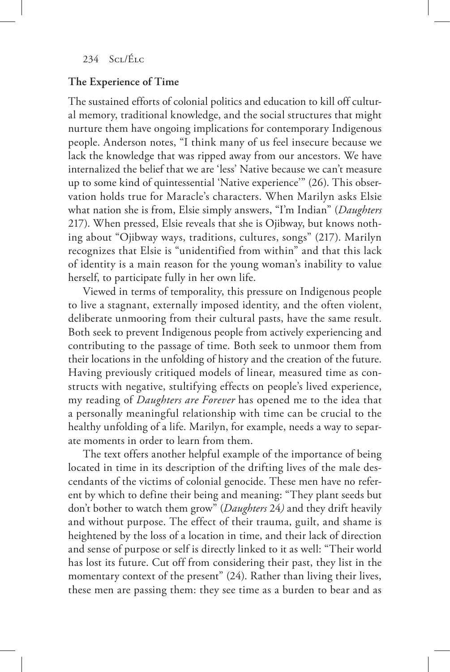## **The Experience of Time**

The sustained efforts of colonial politics and education to kill off cultural memory, traditional knowledge, and the social structures that might nurture them have ongoing implications for contemporary Indigenous people. Anderson notes, "I think many of us feel insecure because we lack the knowledge that was ripped away from our ancestors. We have internalized the belief that we are 'less' Native because we can't measure up to some kind of quintessential 'Native experience'" (26). This observation holds true for Maracle's characters. When Marilyn asks Elsie what nation she is from, Elsie simply answers, "I'm Indian" (*Daughters*  217). When pressed, Elsie reveals that she is Ojibway, but knows nothing about "Ojibway ways, traditions, cultures, songs" (217). Marilyn recognizes that Elsie is "unidentified from within" and that this lack of identity is a main reason for the young woman's inability to value herself, to participate fully in her own life.

Viewed in terms of temporality, this pressure on Indigenous people to live a stagnant, externally imposed identity, and the often violent, deliberate unmooring from their cultural pasts, have the same result. Both seek to prevent Indigenous people from actively experiencing and contributing to the passage of time. Both seek to unmoor them from their locations in the unfolding of history and the creation of the future. Having previously critiqued models of linear, measured time as constructs with negative, stultifying effects on people's lived experience, my reading of *Daughters are Forever* has opened me to the idea that a personally meaningful relationship with time can be crucial to the healthy unfolding of a life. Marilyn, for example, needs a way to separate moments in order to learn from them.

The text offers another helpful example of the importance of being located in time in its description of the drifting lives of the male descendants of the victims of colonial genocide. These men have no referent by which to define their being and meaning: "They plant seeds but don't bother to watch them grow" (*Daughters* 24*)* and they drift heavily and without purpose. The effect of their trauma, guilt, and shame is heightened by the loss of a location in time, and their lack of direction and sense of purpose or self is directly linked to it as well: "Their world has lost its future. Cut off from considering their past, they list in the momentary context of the present" (24). Rather than living their lives, these men are passing them: they see time as a burden to bear and as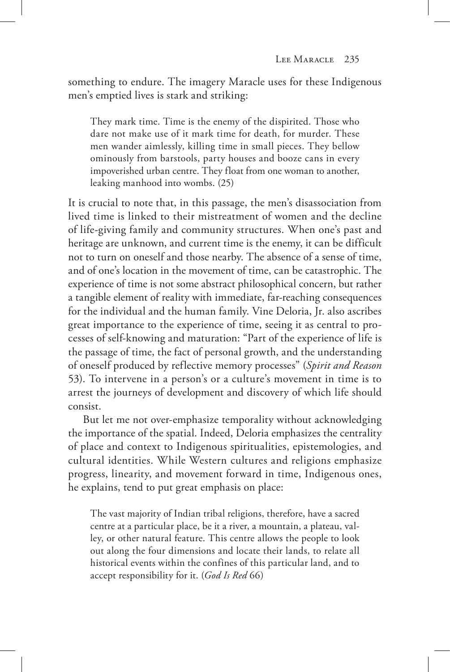something to endure. The imagery Maracle uses for these Indigenous men's emptied lives is stark and striking:

They mark time. Time is the enemy of the dispirited. Those who dare not make use of it mark time for death, for murder. These men wander aimlessly, killing time in small pieces. They bellow ominously from barstools, party houses and booze cans in every impoverished urban centre. They float from one woman to another, leaking manhood into wombs. (25)

It is crucial to note that, in this passage, the men's disassociation from lived time is linked to their mistreatment of women and the decline of life-giving family and community structures. When one's past and heritage are unknown, and current time is the enemy, it can be difficult not to turn on oneself and those nearby. The absence of a sense of time, and of one's location in the movement of time, can be catastrophic. The experience of time is not some abstract philosophical concern, but rather a tangible element of reality with immediate, far-reaching consequences for the individual and the human family. Vine Deloria, Jr. also ascribes great importance to the experience of time, seeing it as central to processes of self-knowing and maturation: "Part of the experience of life is the passage of time, the fact of personal growth, and the understanding of oneself produced by reflective memory processes" (*Spirit and Reason*  53). To intervene in a person's or a culture's movement in time is to arrest the journeys of development and discovery of which life should consist.

But let me not over-emphasize temporality without acknowledging the importance of the spatial. Indeed, Deloria emphasizes the centrality of place and context to Indigenous spiritualities, epistemologies, and cultural identities. While Western cultures and religions emphasize progress, linearity, and movement forward in time, Indigenous ones, he explains, tend to put great emphasis on place:

The vast majority of Indian tribal religions, therefore, have a sacred centre at a particular place, be it a river, a mountain, a plateau, valley, or other natural feature. This centre allows the people to look out along the four dimensions and locate their lands, to relate all historical events within the confines of this particular land, and to accept responsibility for it. (*God Is Red* 66)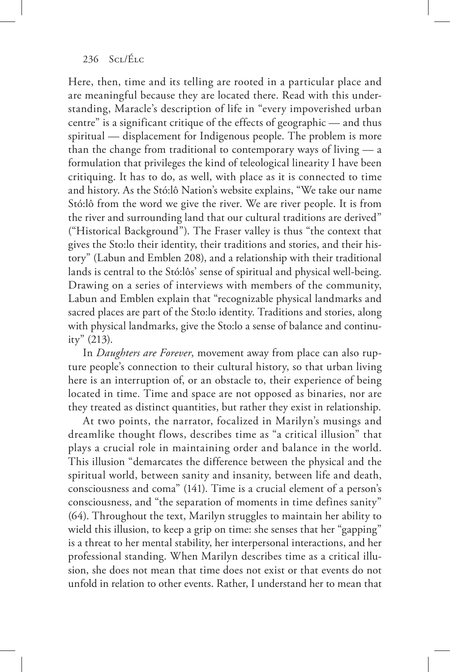Here, then, time and its telling are rooted in a particular place and are meaningful because they are located there. Read with this understanding, Maracle's description of life in "every impoverished urban centre" is a significant critique of the effects of geographic — and thus spiritual — displacement for Indigenous people. The problem is more than the change from traditional to contemporary ways of living — a formulation that privileges the kind of teleological linearity I have been critiquing. It has to do, as well, with place as it is connected to time and history. As the Stó:lô Nation's website explains, "We take our name Stó:lô from the word we give the river. We are river people. It is from the river and surrounding land that our cultural traditions are derived" ("Historical Background"). The Fraser valley is thus "the context that gives the Sto:lo their identity, their traditions and stories, and their history" (Labun and Emblen 208), and a relationship with their traditional lands is central to the Stó:lôs' sense of spiritual and physical well-being. Drawing on a series of interviews with members of the community, Labun and Emblen explain that "recognizable physical landmarks and sacred places are part of the Sto:lo identity. Traditions and stories, along with physical landmarks, give the Sto:lo a sense of balance and continuity" (213).

In *Daughters are Forever*, movement away from place can also rupture people's connection to their cultural history, so that urban living here is an interruption of, or an obstacle to, their experience of being located in time. Time and space are not opposed as binaries, nor are they treated as distinct quantities, but rather they exist in relationship.

At two points, the narrator, focalized in Marilyn's musings and dreamlike thought flows, describes time as "a critical illusion" that plays a crucial role in maintaining order and balance in the world. This illusion "demarcates the difference between the physical and the spiritual world, between sanity and insanity, between life and death, consciousness and coma" (141). Time is a crucial element of a person's consciousness, and "the separation of moments in time defines sanity" (64). Throughout the text, Marilyn struggles to maintain her ability to wield this illusion, to keep a grip on time: she senses that her "gapping" is a threat to her mental stability, her interpersonal interactions, and her professional standing. When Marilyn describes time as a critical illusion, she does not mean that time does not exist or that events do not unfold in relation to other events. Rather, I understand her to mean that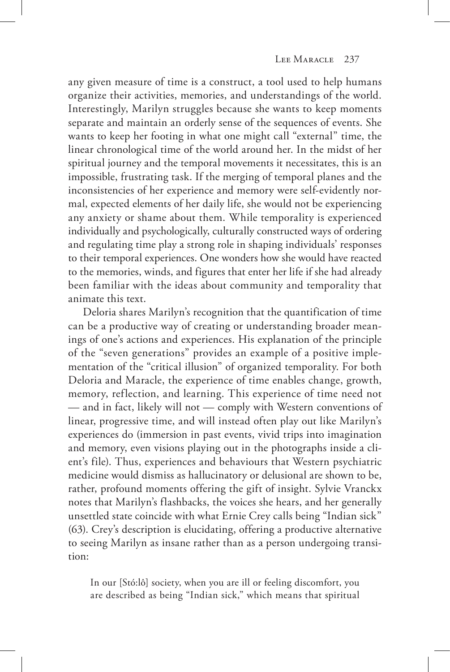any given measure of time is a construct, a tool used to help humans organize their activities, memories, and understandings of the world. Interestingly, Marilyn struggles because she wants to keep moments separate and maintain an orderly sense of the sequences of events. She wants to keep her footing in what one might call "external" time, the linear chronological time of the world around her. In the midst of her spiritual journey and the temporal movements it necessitates, this is an impossible, frustrating task. If the merging of temporal planes and the inconsistencies of her experience and memory were self-evidently normal, expected elements of her daily life, she would not be experiencing any anxiety or shame about them. While temporality is experienced individually and psychologically, culturally constructed ways of ordering and regulating time play a strong role in shaping individuals' responses to their temporal experiences. One wonders how she would have reacted to the memories, winds, and figures that enter her life if she had already been familiar with the ideas about community and temporality that animate this text.

Deloria shares Marilyn's recognition that the quantification of time can be a productive way of creating or understanding broader meanings of one's actions and experiences. His explanation of the principle of the "seven generations" provides an example of a positive implementation of the "critical illusion" of organized temporality. For both Deloria and Maracle, the experience of time enables change, growth, memory, reflection, and learning. This experience of time need not — and in fact, likely will not — comply with Western conventions of linear, progressive time, and will instead often play out like Marilyn's experiences do (immersion in past events, vivid trips into imagination and memory, even visions playing out in the photographs inside a client's file). Thus, experiences and behaviours that Western psychiatric medicine would dismiss as hallucinatory or delusional are shown to be, rather, profound moments offering the gift of insight. Sylvie Vranckx notes that Marilyn's flashbacks, the voices she hears, and her generally unsettled state coincide with what Ernie Crey calls being "Indian sick" (63). Crey's description is elucidating, offering a productive alternative to seeing Marilyn as insane rather than as a person undergoing transition:

In our [Stó:lô] society, when you are ill or feeling discomfort, you are described as being "Indian sick," which means that spiritual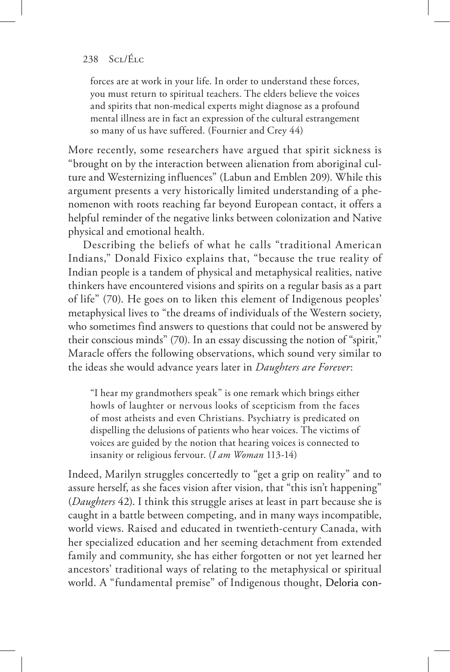forces are at work in your life. In order to understand these forces, you must return to spiritual teachers. The elders believe the voices and spirits that non-medical experts might diagnose as a profound mental illness are in fact an expression of the cultural estrangement so many of us have suffered. (Fournier and Crey 44)

More recently, some researchers have argued that spirit sickness is "brought on by the interaction between alienation from aboriginal culture and Westernizing influences" (Labun and Emblen 209). While this argument presents a very historically limited understanding of a phenomenon with roots reaching far beyond European contact, it offers a helpful reminder of the negative links between colonization and Native physical and emotional health.

Describing the beliefs of what he calls "traditional American Indians," Donald Fixico explains that, "because the true reality of Indian people is a tandem of physical and metaphysical realities, native thinkers have encountered visions and spirits on a regular basis as a part of life" (70). He goes on to liken this element of Indigenous peoples' metaphysical lives to "the dreams of individuals of the Western society, who sometimes find answers to questions that could not be answered by their conscious minds" (70). In an essay discussing the notion of "spirit," Maracle offers the following observations, which sound very similar to the ideas she would advance years later in *Daughters are Forever*:

"I hear my grandmothers speak" is one remark which brings either howls of laughter or nervous looks of scepticism from the faces of most atheists and even Christians. Psychiatry is predicated on dispelling the delusions of patients who hear voices. The victims of voices are guided by the notion that hearing voices is connected to insanity or religious fervour. (*I am Woman* 113-14)

Indeed, Marilyn struggles concertedly to "get a grip on reality" and to assure herself, as she faces vision after vision, that "this isn't happening" (*Daughters* 42). I think this struggle arises at least in part because she is caught in a battle between competing, and in many ways incompatible, world views. Raised and educated in twentieth-century Canada, with her specialized education and her seeming detachment from extended family and community, she has either forgotten or not yet learned her ancestors' traditional ways of relating to the metaphysical or spiritual world. A "fundamental premise" of Indigenous thought, Deloria con-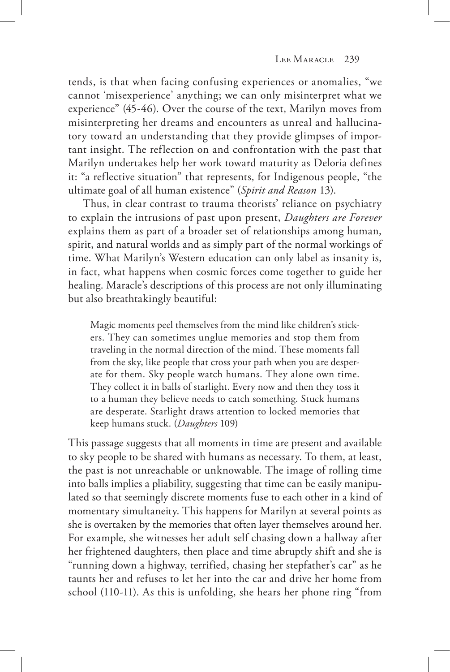tends, is that when facing confusing experiences or anomalies, "we cannot 'misexperience' anything; we can only misinterpret what we experience" (45-46). Over the course of the text, Marilyn moves from misinterpreting her dreams and encounters as unreal and hallucinatory toward an understanding that they provide glimpses of important insight. The reflection on and confrontation with the past that Marilyn undertakes help her work toward maturity as Deloria defines it: "a reflective situation" that represents, for Indigenous people, "the ultimate goal of all human existence" (*Spirit and Reason* 13).

Thus, in clear contrast to trauma theorists' reliance on psychiatry to explain the intrusions of past upon present, *Daughters are Forever*  explains them as part of a broader set of relationships among human, spirit, and natural worlds and as simply part of the normal workings of time. What Marilyn's Western education can only label as insanity is, in fact, what happens when cosmic forces come together to guide her healing. Maracle's descriptions of this process are not only illuminating but also breathtakingly beautiful:

Magic moments peel themselves from the mind like children's stickers. They can sometimes unglue memories and stop them from traveling in the normal direction of the mind. These moments fall from the sky, like people that cross your path when you are desperate for them. Sky people watch humans. They alone own time. They collect it in balls of starlight. Every now and then they toss it to a human they believe needs to catch something. Stuck humans are desperate. Starlight draws attention to locked memories that keep humans stuck. (*Daughters* 109)

This passage suggests that all moments in time are present and available to sky people to be shared with humans as necessary. To them, at least, the past is not unreachable or unknowable. The image of rolling time into balls implies a pliability, suggesting that time can be easily manipulated so that seemingly discrete moments fuse to each other in a kind of momentary simultaneity. This happens for Marilyn at several points as she is overtaken by the memories that often layer themselves around her. For example, she witnesses her adult self chasing down a hallway after her frightened daughters, then place and time abruptly shift and she is "running down a highway, terrified, chasing her stepfather's car" as he taunts her and refuses to let her into the car and drive her home from school (110-11). As this is unfolding, she hears her phone ring "from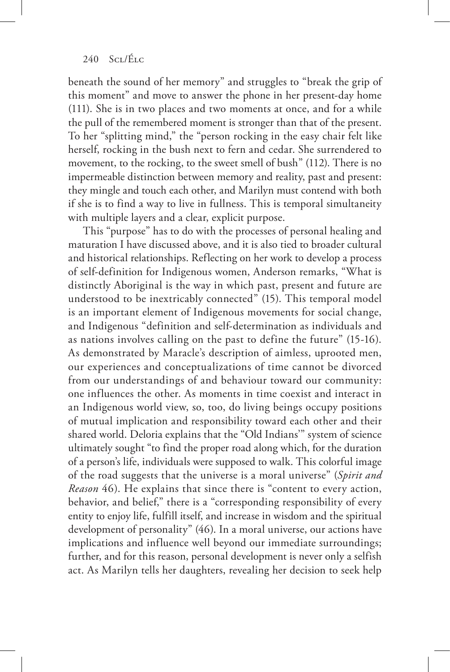beneath the sound of her memory" and struggles to "break the grip of this moment" and move to answer the phone in her present-day home (111). She is in two places and two moments at once, and for a while the pull of the remembered moment is stronger than that of the present. To her "splitting mind," the "person rocking in the easy chair felt like herself, rocking in the bush next to fern and cedar. She surrendered to movement, to the rocking, to the sweet smell of bush" (112). There is no impermeable distinction between memory and reality, past and present: they mingle and touch each other, and Marilyn must contend with both if she is to find a way to live in fullness. This is temporal simultaneity with multiple layers and a clear, explicit purpose.

This "purpose" has to do with the processes of personal healing and maturation I have discussed above, and it is also tied to broader cultural and historical relationships. Reflecting on her work to develop a process of self-definition for Indigenous women, Anderson remarks, "What is distinctly Aboriginal is the way in which past, present and future are understood to be inextricably connected" (15). This temporal model is an important element of Indigenous movements for social change, and Indigenous "definition and self-determination as individuals and as nations involves calling on the past to define the future" (15-16). As demonstrated by Maracle's description of aimless, uprooted men, our experiences and conceptualizations of time cannot be divorced from our understandings of and behaviour toward our community: one influences the other. As moments in time coexist and interact in an Indigenous world view, so, too, do living beings occupy positions of mutual implication and responsibility toward each other and their shared world. Deloria explains that the "Old Indians'" system of science ultimately sought "to find the proper road along which, for the duration of a person's life, individuals were supposed to walk. This colorful image of the road suggests that the universe is a moral universe" (*Spirit and Reason* 46). He explains that since there is "content to every action, behavior, and belief," there is a "corresponding responsibility of every entity to enjoy life, fulfill itself, and increase in wisdom and the spiritual development of personality" (46). In a moral universe, our actions have implications and influence well beyond our immediate surroundings; further, and for this reason, personal development is never only a selfish act. As Marilyn tells her daughters, revealing her decision to seek help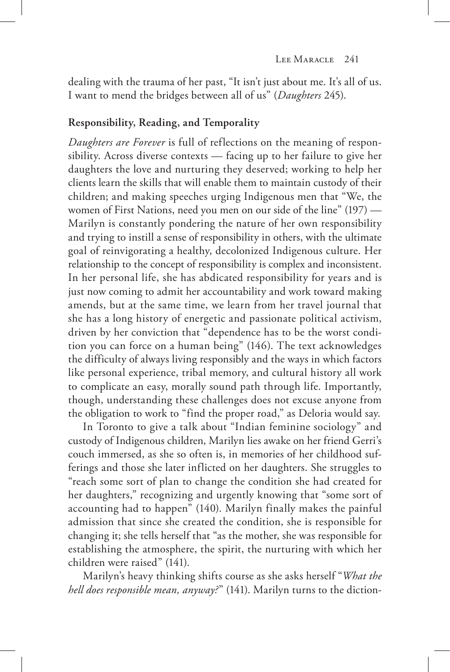dealing with the trauma of her past, "It isn't just about me. It's all of us. I want to mend the bridges between all of us" (*Daughters* 245).

## **Responsibility, Reading, and Temporality**

*Daughters are Forever* is full of reflections on the meaning of responsibility. Across diverse contexts — facing up to her failure to give her daughters the love and nurturing they deserved; working to help her clients learn the skills that will enable them to maintain custody of their children; and making speeches urging Indigenous men that "We, the women of First Nations, need you men on our side of the line" (197) — Marilyn is constantly pondering the nature of her own responsibility and trying to instill a sense of responsibility in others, with the ultimate goal of reinvigorating a healthy, decolonized Indigenous culture. Her relationship to the concept of responsibility is complex and inconsistent. In her personal life, she has abdicated responsibility for years and is just now coming to admit her accountability and work toward making amends, but at the same time, we learn from her travel journal that she has a long history of energetic and passionate political activism, driven by her conviction that "dependence has to be the worst condition you can force on a human being" (146). The text acknowledges the difficulty of always living responsibly and the ways in which factors like personal experience, tribal memory, and cultural history all work to complicate an easy, morally sound path through life. Importantly, though, understanding these challenges does not excuse anyone from the obligation to work to "find the proper road," as Deloria would say.

In Toronto to give a talk about "Indian feminine sociology" and custody of Indigenous children, Marilyn lies awake on her friend Gerri's couch immersed, as she so often is, in memories of her childhood sufferings and those she later inflicted on her daughters. She struggles to "reach some sort of plan to change the condition she had created for her daughters," recognizing and urgently knowing that "some sort of accounting had to happen" (140). Marilyn finally makes the painful admission that since she created the condition, she is responsible for changing it; she tells herself that "as the mother, she was responsible for establishing the atmosphere, the spirit, the nurturing with which her children were raised" (141).

Marilyn's heavy thinking shifts course as she asks herself "*What the hell does responsible mean, anyway?*" (141). Marilyn turns to the diction-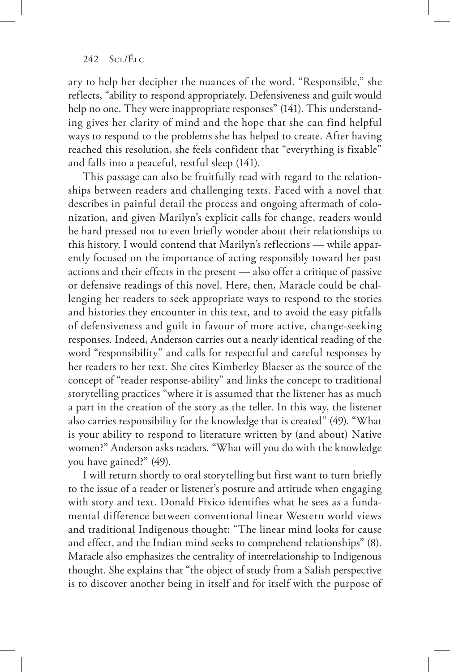ary to help her decipher the nuances of the word. "Responsible," she reflects, "ability to respond appropriately. Defensiveness and guilt would help no one. They were inappropriate responses" (141). This understanding gives her clarity of mind and the hope that she can find helpful ways to respond to the problems she has helped to create. After having reached this resolution, she feels confident that "everything is fixable" and falls into a peaceful, restful sleep (141).

This passage can also be fruitfully read with regard to the relationships between readers and challenging texts. Faced with a novel that describes in painful detail the process and ongoing aftermath of colonization, and given Marilyn's explicit calls for change, readers would be hard pressed not to even briefly wonder about their relationships to this history. I would contend that Marilyn's reflections — while apparently focused on the importance of acting responsibly toward her past actions and their effects in the present — also offer a critique of passive or defensive readings of this novel. Here, then, Maracle could be challenging her readers to seek appropriate ways to respond to the stories and histories they encounter in this text, and to avoid the easy pitfalls of defensiveness and guilt in favour of more active, change-seeking responses. Indeed, Anderson carries out a nearly identical reading of the word "responsibility" and calls for respectful and careful responses by her readers to her text. She cites Kimberley Blaeser as the source of the concept of "reader response-ability" and links the concept to traditional storytelling practices "where it is assumed that the listener has as much a part in the creation of the story as the teller. In this way, the listener also carries responsibility for the knowledge that is created" (49). "What is your ability to respond to literature written by (and about) Native women?" Anderson asks readers. "What will you do with the knowledge you have gained?" (49).

I will return shortly to oral storytelling but first want to turn briefly to the issue of a reader or listener's posture and attitude when engaging with story and text. Donald Fixico identifies what he sees as a fundamental difference between conventional linear Western world views and traditional Indigenous thought: "The linear mind looks for cause and effect, and the Indian mind seeks to comprehend relationships" (8). Maracle also emphasizes the centrality of interrelationship to Indigenous thought. She explains that "the object of study from a Salish perspective is to discover another being in itself and for itself with the purpose of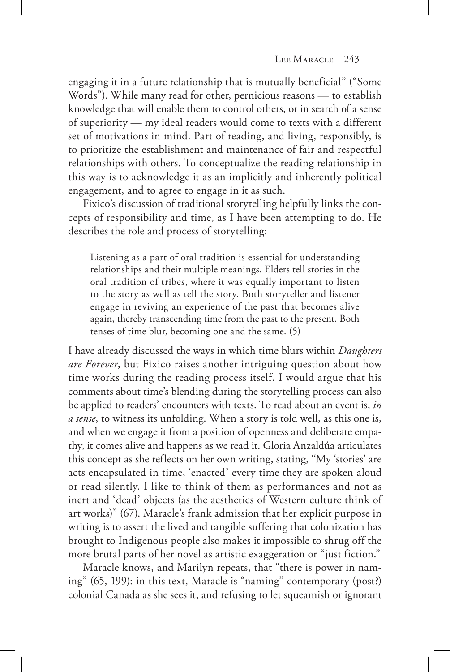engaging it in a future relationship that is mutually beneficial" ("Some Words"). While many read for other, pernicious reasons — to establish knowledge that will enable them to control others, or in search of a sense of superiority — my ideal readers would come to texts with a different set of motivations in mind. Part of reading, and living, responsibly, is to prioritize the establishment and maintenance of fair and respectful relationships with others. To conceptualize the reading relationship in this way is to acknowledge it as an implicitly and inherently political engagement, and to agree to engage in it as such.

Fixico's discussion of traditional storytelling helpfully links the concepts of responsibility and time, as I have been attempting to do. He describes the role and process of storytelling:

Listening as a part of oral tradition is essential for understanding relationships and their multiple meanings. Elders tell stories in the oral tradition of tribes, where it was equally important to listen to the story as well as tell the story. Both storyteller and listener engage in reviving an experience of the past that becomes alive again, thereby transcending time from the past to the present. Both tenses of time blur, becoming one and the same. (5)

I have already discussed the ways in which time blurs within *Daughters are Forever*, but Fixico raises another intriguing question about how time works during the reading process itself. I would argue that his comments about time's blending during the storytelling process can also be applied to readers' encounters with texts. To read about an event is, *in a sense*, to witness its unfolding. When a story is told well, as this one is, and when we engage it from a position of openness and deliberate empathy, it comes alive and happens as we read it. Gloria Anzaldúa articulates this concept as she reflects on her own writing, stating, "My 'stories' are acts encapsulated in time, 'enacted' every time they are spoken aloud or read silently. I like to think of them as performances and not as inert and 'dead' objects (as the aesthetics of Western culture think of art works)" (67). Maracle's frank admission that her explicit purpose in writing is to assert the lived and tangible suffering that colonization has brought to Indigenous people also makes it impossible to shrug off the more brutal parts of her novel as artistic exaggeration or "just fiction."

Maracle knows, and Marilyn repeats, that "there is power in naming" (65, 199): in this text, Maracle is "naming" contemporary (post?) colonial Canada as she sees it, and refusing to let squeamish or ignorant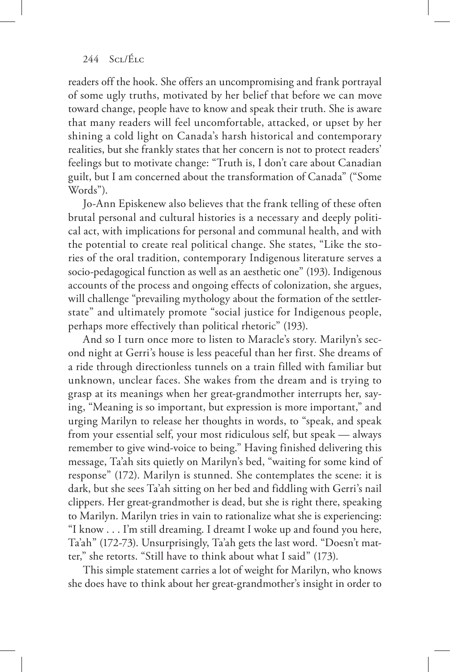readers off the hook. She offers an uncompromising and frank portrayal of some ugly truths, motivated by her belief that before we can move toward change, people have to know and speak their truth. She is aware that many readers will feel uncomfortable, attacked, or upset by her shining a cold light on Canada's harsh historical and contemporary realities, but she frankly states that her concern is not to protect readers' feelings but to motivate change: "Truth is, I don't care about Canadian guilt, but I am concerned about the transformation of Canada" ("Some Words").

Jo-Ann Episkenew also believes that the frank telling of these often brutal personal and cultural histories is a necessary and deeply political act, with implications for personal and communal health, and with the potential to create real political change. She states, "Like the stories of the oral tradition, contemporary Indigenous literature serves a socio-pedagogical function as well as an aesthetic one" (193). Indigenous accounts of the process and ongoing effects of colonization, she argues, will challenge "prevailing mythology about the formation of the settlerstate" and ultimately promote "social justice for Indigenous people, perhaps more effectively than political rhetoric" (193).

And so I turn once more to listen to Maracle's story. Marilyn's second night at Gerri's house is less peaceful than her first. She dreams of a ride through directionless tunnels on a train filled with familiar but unknown, unclear faces. She wakes from the dream and is trying to grasp at its meanings when her great-grandmother interrupts her, saying, "Meaning is so important, but expression is more important," and urging Marilyn to release her thoughts in words, to "speak, and speak from your essential self, your most ridiculous self, but speak — always remember to give wind-voice to being." Having finished delivering this message, Ta'ah sits quietly on Marilyn's bed, "waiting for some kind of response" (172). Marilyn is stunned. She contemplates the scene: it is dark, but she sees Ta'ah sitting on her bed and fiddling with Gerri's nail clippers. Her great-grandmother is dead, but she is right there, speaking to Marilyn. Marilyn tries in vain to rationalize what she is experiencing: "I know . . . I'm still dreaming. I dreamt I woke up and found you here, Ta'ah" (172-73). Unsurprisingly, Ta'ah gets the last word. "Doesn't matter," she retorts. "Still have to think about what I said" (173).

This simple statement carries a lot of weight for Marilyn, who knows she does have to think about her great-grandmother's insight in order to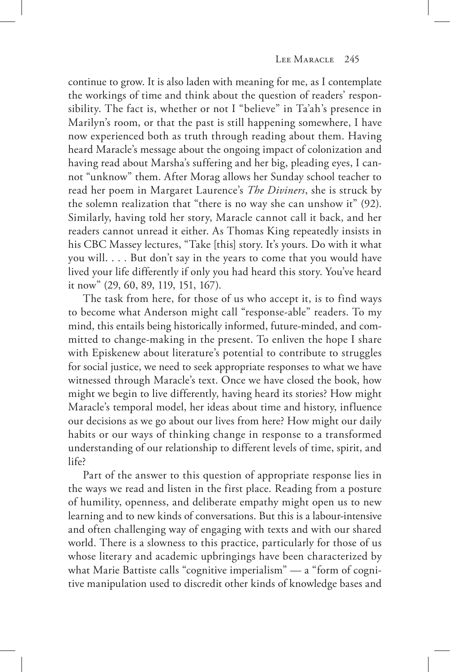continue to grow. It is also laden with meaning for me, as I contemplate the workings of time and think about the question of readers' responsibility. The fact is, whether or not I "believe" in Ta'ah's presence in Marilyn's room, or that the past is still happening somewhere, I have now experienced both as truth through reading about them. Having heard Maracle's message about the ongoing impact of colonization and having read about Marsha's suffering and her big, pleading eyes, I cannot "unknow" them. After Morag allows her Sunday school teacher to read her poem in Margaret Laurence's *The Diviners*, she is struck by the solemn realization that "there is no way she can unshow it" (92). Similarly, having told her story, Maracle cannot call it back, and her readers cannot unread it either. As Thomas King repeatedly insists in his CBC Massey lectures, "Take [this] story. It's yours. Do with it what you will. . . . But don't say in the years to come that you would have lived your life differently if only you had heard this story. You've heard it now" (29, 60, 89, 119, 151, 167).

The task from here, for those of us who accept it, is to find ways to become what Anderson might call "response-able" readers. To my mind, this entails being historically informed, future-minded, and committed to change-making in the present. To enliven the hope I share with Episkenew about literature's potential to contribute to struggles for social justice, we need to seek appropriate responses to what we have witnessed through Maracle's text. Once we have closed the book, how might we begin to live differently, having heard its stories? How might Maracle's temporal model, her ideas about time and history, influence our decisions as we go about our lives from here? How might our daily habits or our ways of thinking change in response to a transformed understanding of our relationship to different levels of time, spirit, and life?

Part of the answer to this question of appropriate response lies in the ways we read and listen in the first place. Reading from a posture of humility, openness, and deliberate empathy might open us to new learning and to new kinds of conversations. But this is a labour-intensive and often challenging way of engaging with texts and with our shared world. There is a slowness to this practice, particularly for those of us whose literary and academic upbringings have been characterized by what Marie Battiste calls "cognitive imperialism" — a "form of cognitive manipulation used to discredit other kinds of knowledge bases and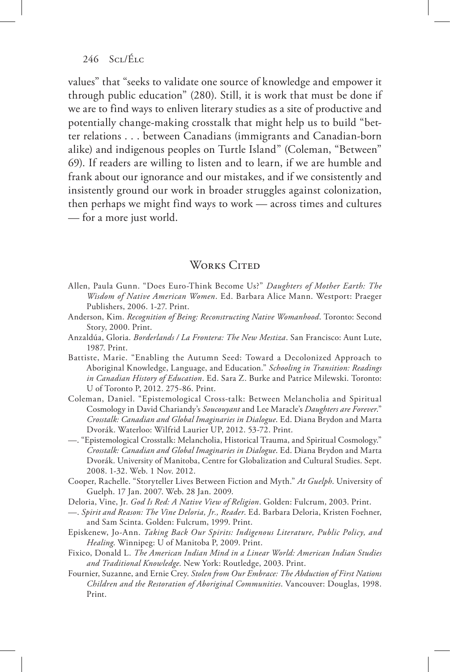values" that "seeks to validate one source of knowledge and empower it through public education" (280). Still, it is work that must be done if we are to find ways to enliven literary studies as a site of productive and potentially change-making crosstalk that might help us to build "better relations . . . between Canadians (immigrants and Canadian-born alike) and indigenous peoples on Turtle Island" (Coleman, "Between" 69). If readers are willing to listen and to learn, if we are humble and frank about our ignorance and our mistakes, and if we consistently and insistently ground our work in broader struggles against colonization, then perhaps we might find ways to work — across times and cultures — for a more just world.

## WORKS CITED

- Allen, Paula Gunn. "Does Euro-Think Become Us?" *Daughters of Mother Earth: The Wisdom of Native American Women*. Ed. Barbara Alice Mann. Westport: Praeger Publishers, 2006. 1-27. Print.
- Anderson, Kim. *Recognition of Being: Reconstructing Native Womanhood*. Toronto: Second Story, 2000. Print.
- Anzaldúa, Gloria. *Borderlands / La Frontera: The New Mestiza*. San Francisco: Aunt Lute, 1987. Print.
- Battiste, Marie. "Enabling the Autumn Seed: Toward a Decolonized Approach to Aboriginal Knowledge, Language, and Education." *Schooling in Transition: Readings in Canadian History of Education*. Ed. Sara Z. Burke and Patrice Milewski. Toronto: U of Toronto P, 2012. 275-86. Print.
- Coleman, Daniel. "Epistemological Cross-talk: Between Melancholia and Spiritual Cosmology in David Chariandy's *Soucouyant* and Lee Maracle's *Daughters are Forever*." *Crosstalk: Canadian and Global Imaginaries in Dialogue*. Ed. Diana Brydon and Marta Dvorák. Waterloo: Wilfrid Laurier UP, 2012. 53-72. Print.
- —. "Epistemological Crosstalk: Melancholia, Historical Trauma, and Spiritual Cosmology." *Crosstalk: Canadian and Global Imaginaries in Dialogue*. Ed. Diana Brydon and Marta Dvorák. University of Manitoba, Centre for Globalization and Cultural Studies. Sept. 2008. 1-32. Web. 1 Nov. 2012.
- Cooper, Rachelle. "Storyteller Lives Between Fiction and Myth." *At Guelph*. University of Guelph. 17 Jan. 2007. Web. 28 Jan. 2009.
- Deloria, Vine, Jr. *God Is Red: A Native View of Religion*. Golden: Fulcrum, 2003. Print.
- —. *Spirit and Reason: The Vine Deloria, Jr., Reader*. Ed. Barbara Deloria, Kristen Foehner, and Sam Scinta. Golden: Fulcrum, 1999. Print.
- Episkenew, Jo-Ann. *Taking Back Our Spirits: Indigenous Literature, Public Policy, and Healing*. Winnipeg: U of Manitoba P, 2009. Print.
- Fixico, Donald L. *The American Indian Mind in a Linear World: American Indian Studies and Traditional Knowledge*. New York: Routledge, 2003. Print.
- Fournier, Suzanne, and Ernie Crey. *Stolen from Our Embrace: The Abduction of First Nations Children and the Restoration of Aboriginal Communities*. Vancouver: Douglas, 1998. Print.